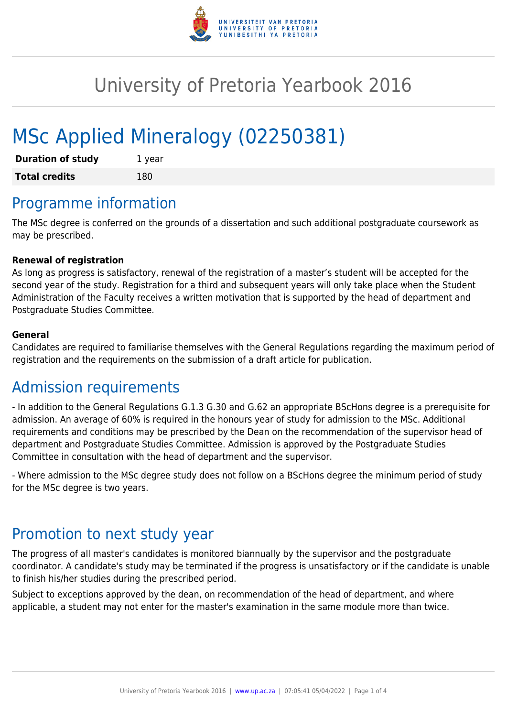

# University of Pretoria Yearbook 2016

# MSc Applied Mineralogy (02250381)

| <b>Duration of study</b> | 1 year |
|--------------------------|--------|
| <b>Total credits</b>     | 180    |

## Programme information

The MSc degree is conferred on the grounds of a dissertation and such additional postgraduate coursework as may be prescribed.

#### **Renewal of registration**

As long as progress is satisfactory, renewal of the registration of a master's student will be accepted for the second year of the study. Registration for a third and subsequent years will only take place when the Student Administration of the Faculty receives a written motivation that is supported by the head of department and Postgraduate Studies Committee.

#### **General**

Candidates are required to familiarise themselves with the General Regulations regarding the maximum period of registration and the requirements on the submission of a draft article for publication.

#### Admission requirements

- In addition to the General Regulations G.1.3 G.30 and G.62 an appropriate BScHons degree is a prerequisite for admission. An average of 60% is required in the honours year of study for admission to the MSc. Additional requirements and conditions may be prescribed by the Dean on the recommendation of the supervisor head of department and Postgraduate Studies Committee. Admission is approved by the Postgraduate Studies Committee in consultation with the head of department and the supervisor.

- Where admission to the MSc degree study does not follow on a BScHons degree the minimum period of study for the MSc degree is two years.

#### Promotion to next study year

The progress of all master's candidates is monitored biannually by the supervisor and the postgraduate coordinator. A candidate's study may be terminated if the progress is unsatisfactory or if the candidate is unable to finish his/her studies during the prescribed period.

Subject to exceptions approved by the dean, on recommendation of the head of department, and where applicable, a student may not enter for the master's examination in the same module more than twice.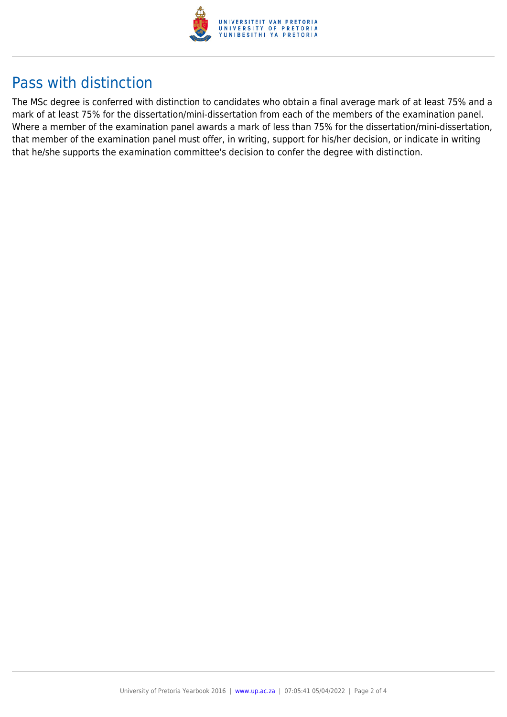

## Pass with distinction

The MSc degree is conferred with distinction to candidates who obtain a final average mark of at least 75% and a mark of at least 75% for the dissertation/mini-dissertation from each of the members of the examination panel. Where a member of the examination panel awards a mark of less than 75% for the dissertation/mini-dissertation, that member of the examination panel must offer, in writing, support for his/her decision, or indicate in writing that he/she supports the examination committee's decision to confer the degree with distinction.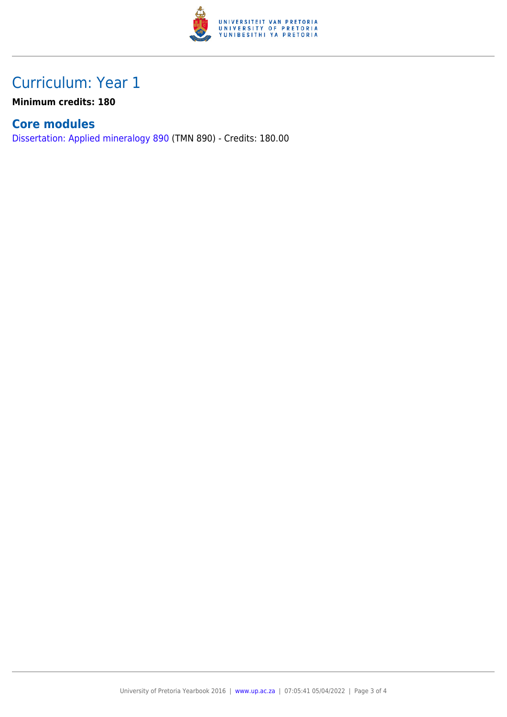

## Curriculum: Year 1

**Minimum credits: 180**

#### **Core modules**

[Dissertation: Applied mineralogy 890](https://www.up.ac.za/parents/yearbooks/2016/modules/view/TMN 890) (TMN 890) - Credits: 180.00